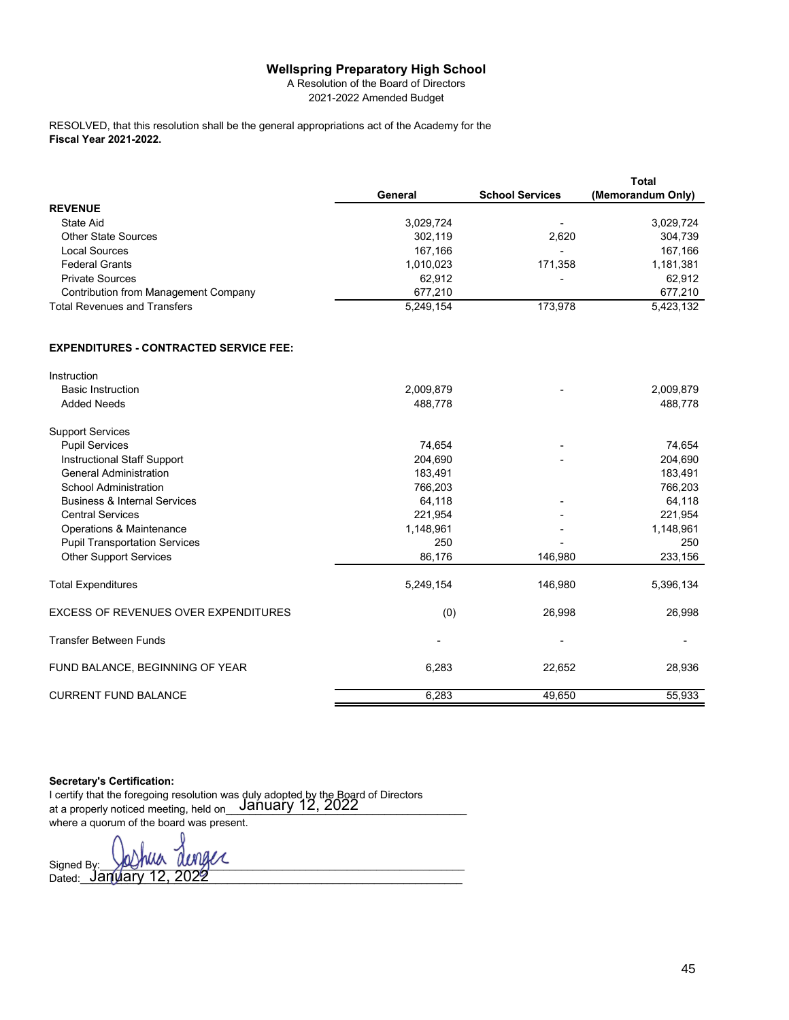## **Wellspring Preparatory High School**

A Resolution of the Board of Directors 2021-2022 Amended Budget

**Fiscal Year 2021-2022.** RESOLVED, that this resolution shall be the general appropriations act of the Academy for the

|                                               |           |                        | <b>Total</b>      |
|-----------------------------------------------|-----------|------------------------|-------------------|
|                                               | General   | <b>School Services</b> | (Memorandum Only) |
| <b>REVENUE</b>                                |           |                        |                   |
| State Aid                                     | 3,029,724 |                        | 3,029,724         |
| <b>Other State Sources</b>                    | 302.119   | 2.620                  | 304.739           |
| Local Sources                                 | 167,166   | -                      | 167,166           |
| <b>Federal Grants</b>                         | 1,010,023 | 171,358                | 1,181,381         |
| <b>Private Sources</b>                        | 62.912    | -                      | 62.912            |
| Contribution from Management Company          | 677,210   |                        | 677,210           |
| <b>Total Revenues and Transfers</b>           | 5.249.154 | 173.978                | 5,423,132         |
| <b>EXPENDITURES - CONTRACTED SERVICE FEE:</b> |           |                        |                   |
|                                               |           |                        |                   |

| 2,009,879 |         | 2,009,879 |
|-----------|---------|-----------|
| 488,778   |         | 488,778   |
|           |         |           |
| 74,654    |         | 74,654    |
| 204,690   |         | 204,690   |
| 183,491   |         | 183,491   |
| 766,203   |         | 766,203   |
| 64,118    |         | 64,118    |
| 221,954   |         | 221,954   |
| 1,148,961 |         | 1,148,961 |
| 250       |         | 250       |
| 86,176    | 146,980 | 233,156   |
| 5,249,154 | 146,980 | 5,396,134 |
| (0)       | 26,998  | 26,998    |
| ٠         |         |           |
| 6,283     | 22,652  | 28,936    |
| 6,283     | 49,650  | 55,933    |
|           |         |           |

## **Secretary's Certification:**

Instruction

I certify that the foregoing resolution was duly adopted by the Board of Directors at a properly noticed meeting, held on\_\_\_\_\_\_\_\_\_\_\_\_\_\_\_\_\_\_\_\_\_\_\_\_\_\_\_\_\_\_\_\_\_\_\_\_\_\_\_\_\_ January 12, 2022 where a quorum of the board was present.

Signed By:\_\_\_\_\_\_\_\_\_\_\_\_\_\_\_\_\_\_\_\_\_\_\_\_\_\_\_\_\_\_\_\_\_\_\_\_\_\_\_\_\_\_\_\_\_\_\_\_\_\_\_\_\_\_\_\_\_\_\_\_\_\_ Dated:\_\_\_\_\_\_\_\_\_\_\_\_\_\_\_\_\_\_\_\_\_\_\_\_\_\_\_\_\_\_\_\_\_\_\_\_\_\_\_\_\_\_\_\_\_\_\_\_\_\_\_\_\_\_\_\_\_\_\_\_\_\_\_\_\_ January 12, 2022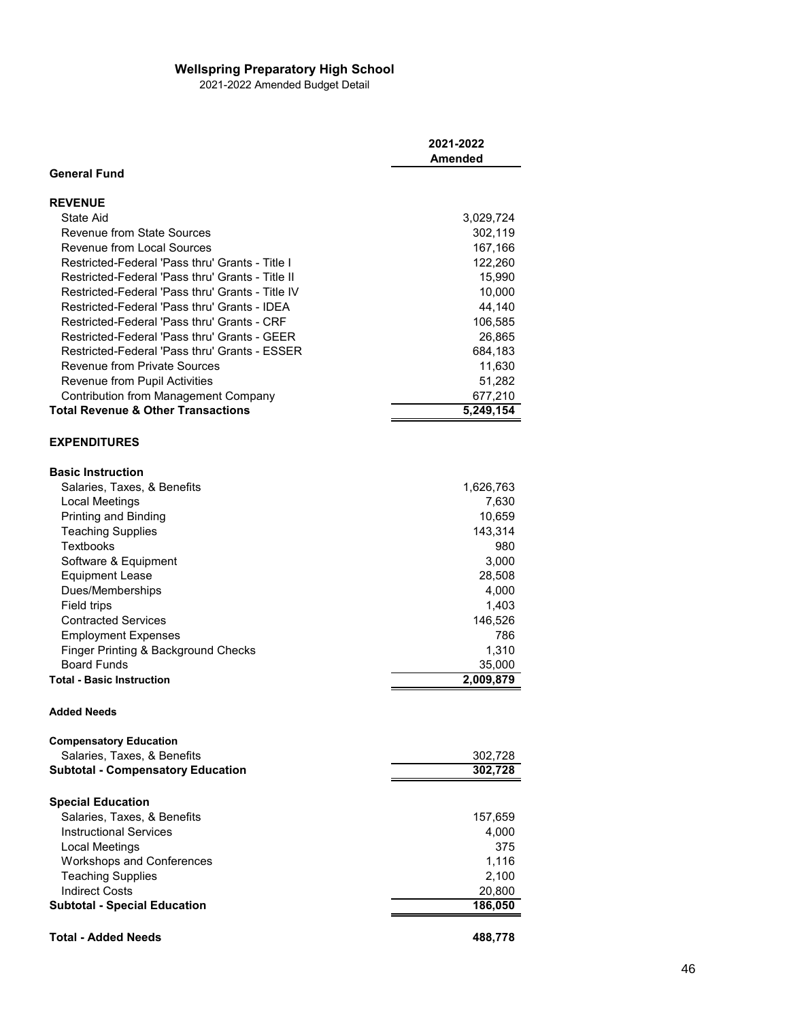## **Wellspring Preparatory High School**

2021-2022 Amended Budget Detail

|                                                         | 2021-2022<br>Amended   |
|---------------------------------------------------------|------------------------|
| <b>General Fund</b>                                     |                        |
| <b>REVENUE</b>                                          |                        |
| State Aid                                               | 3,029,724              |
| Revenue from State Sources                              | 302,119                |
| <b>Revenue from Local Sources</b>                       | 167,166                |
| Restricted-Federal 'Pass thru' Grants - Title I         | 122,260                |
| Restricted-Federal 'Pass thru' Grants - Title II        | 15,990                 |
| Restricted-Federal 'Pass thru' Grants - Title IV        | 10,000                 |
| Restricted-Federal 'Pass thru' Grants - IDFA            | 44,140                 |
| Restricted-Federal 'Pass thru' Grants - CRF             | 106,585                |
| Restricted-Federal 'Pass thru' Grants - GEER            | 26,865                 |
| Restricted-Federal 'Pass thru' Grants - ESSER           | 684,183                |
| <b>Revenue from Private Sources</b>                     | 11,630                 |
| Revenue from Pupil Activities                           | 51,282                 |
| <b>Contribution from Management Company</b>             | 677,210                |
| <b>Total Revenue &amp; Other Transactions</b>           | $\overline{5,249,154}$ |
|                                                         |                        |
| <b>EXPENDITURES</b>                                     |                        |
| <b>Basic Instruction</b>                                |                        |
| Salaries, Taxes, & Benefits                             | 1,626,763              |
| <b>Local Meetings</b>                                   | 7,630                  |
| Printing and Binding                                    | 10,659                 |
| <b>Teaching Supplies</b>                                | 143,314                |
| Textbooks                                               | 980                    |
| Software & Equipment                                    | 3,000                  |
| <b>Equipment Lease</b>                                  | 28,508                 |
| Dues/Memberships                                        | 4,000                  |
| Field trips                                             | 1,403                  |
| <b>Contracted Services</b>                              | 146,526                |
| <b>Employment Expenses</b>                              | 786                    |
| Finger Printing & Background Checks                     | 1,310                  |
| <b>Board Funds</b>                                      | 35,000                 |
| <b>Total - Basic Instruction</b>                        | 2,009,879              |
| <b>Added Needs</b>                                      |                        |
| <b>Compensatory Education</b>                           |                        |
| Salaries, Taxes, & Benefits                             | 302,728                |
| <b>Subtotal - Compensatory Education</b>                | 302,728                |
|                                                         |                        |
| <b>Special Education</b><br>Salaries, Taxes, & Benefits |                        |
|                                                         | 157,659                |
| <b>Instructional Services</b>                           | 4,000                  |
| Local Meetings                                          | 375                    |
| <b>Workshops and Conferences</b>                        | 1,116                  |
| <b>Teaching Supplies</b>                                | 2,100                  |
| <b>Indirect Costs</b>                                   | 20,800                 |
| <b>Subtotal - Special Education</b>                     | 186,050                |
| <b>Total - Added Needs</b>                              | 488,778                |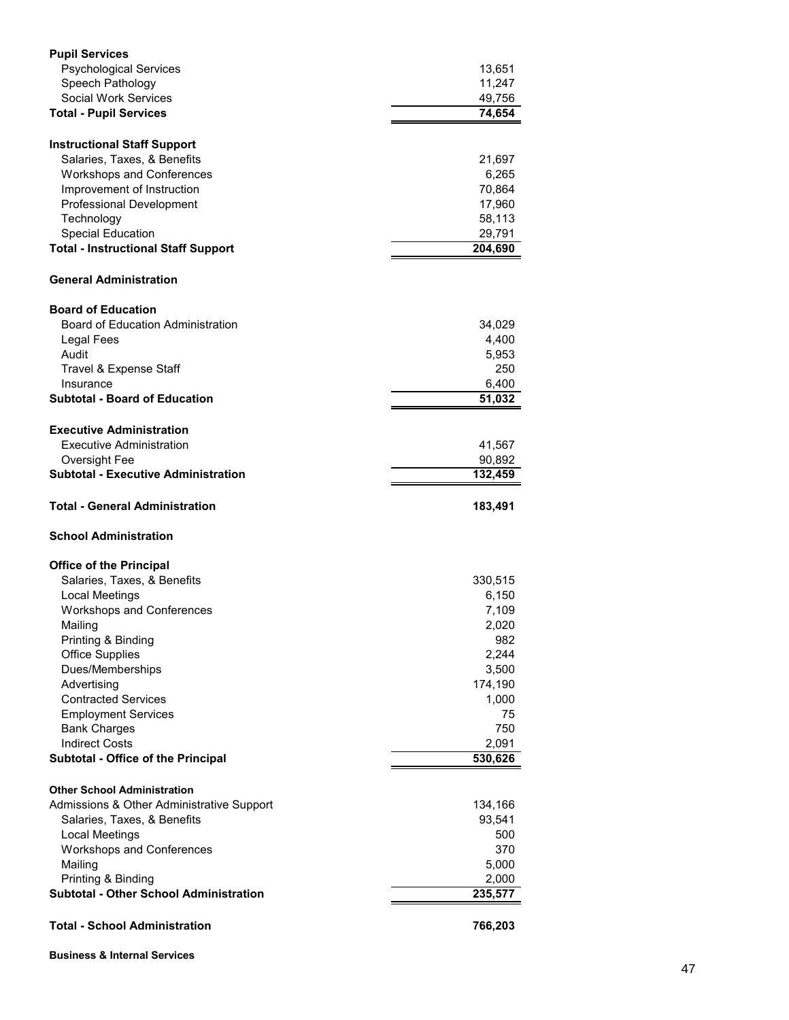| <b>Pupil Services</b>                         |              |
|-----------------------------------------------|--------------|
| <b>Psychological Services</b>                 | 13,651       |
| Speech Pathology                              | 11,247       |
| Social Work Services                          | 49,756       |
| <b>Total - Pupil Services</b>                 | 74,654       |
| <b>Instructional Staff Support</b>            |              |
| Salaries, Taxes, & Benefits                   | 21,697       |
| <b>Workshops and Conferences</b>              | 6,265        |
| Improvement of Instruction                    | 70,864       |
| <b>Professional Development</b>               | 17,960       |
| Technology                                    | 58,113       |
| <b>Special Education</b>                      | 29,791       |
| <b>Total - Instructional Staff Support</b>    | 204,690      |
| <b>General Administration</b>                 |              |
|                                               |              |
| <b>Board of Education</b>                     |              |
| <b>Board of Education Administration</b>      | 34,029       |
| Legal Fees                                    | 4,400        |
| Audit                                         | 5,953        |
| Travel & Expense Staff                        | 250          |
| Insurance                                     | 6,400        |
| <b>Subtotal - Board of Education</b>          | 51,032       |
| <b>Executive Administration</b>               |              |
| Executive Administration                      | 41,567       |
| Oversight Fee                                 | 90,892       |
| <b>Subtotal - Executive Administration</b>    | 132,459      |
|                                               |              |
| Total - General Administration                | 183,491      |
| <b>School Administration</b>                  |              |
|                                               |              |
| <b>Office of the Principal</b>                |              |
| Salaries, Taxes, & Benefits                   | 330,515      |
| Local Meetings                                | 6,150        |
| <b>Workshops and Conferences</b><br>Mailing   | 7,109        |
| Printing & Binding                            | 2,020<br>982 |
| <b>Office Supplies</b>                        | 2,244        |
| Dues/Memberships                              | 3,500        |
| Advertising                                   | 174,190      |
| <b>Contracted Services</b>                    | 1,000        |
| <b>Employment Services</b>                    | 75           |
| <b>Bank Charges</b>                           | 750          |
| <b>Indirect Costs</b>                         | 2,091        |
| <b>Subtotal - Office of the Principal</b>     | 530,626      |
|                                               |              |
| <b>Other School Administration</b>            |              |
| Admissions & Other Administrative Support     | 134,166      |
| Salaries, Taxes, & Benefits                   | 93,541       |
| <b>Local Meetings</b>                         | 500          |
| <b>Workshops and Conferences</b>              | 370          |
| Mailing                                       | 5,000        |
| Printing & Binding                            | 2,000        |
| <b>Subtotal - Other School Administration</b> | 235,577      |

**Business & Internal Services**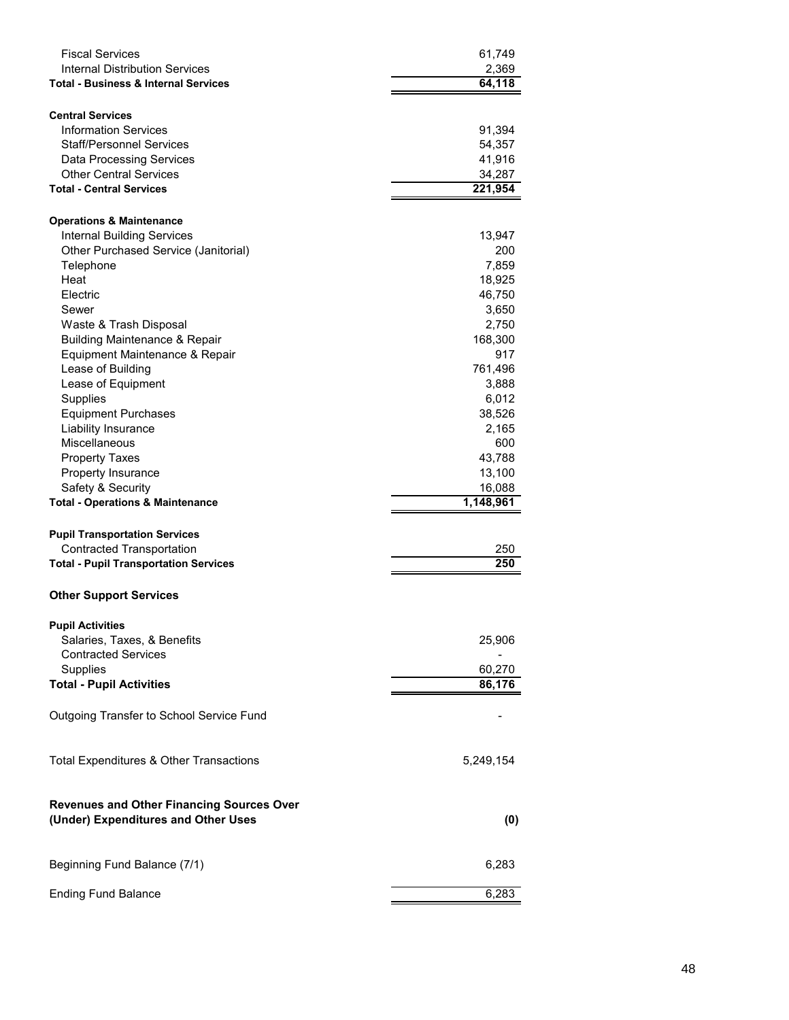| <b>Fiscal Services</b><br><b>Internal Distribution Services</b>           | 61,749<br>2,369 |
|---------------------------------------------------------------------------|-----------------|
| <b>Total - Business &amp; Internal Services</b>                           | 64,118          |
| <b>Central Services</b>                                                   |                 |
| <b>Information Services</b>                                               | 91,394          |
| Staff/Personnel Services                                                  | 54,357          |
| <b>Data Processing Services</b>                                           | 41,916          |
| <b>Other Central Services</b>                                             | 34,287          |
| <b>Total - Central Services</b>                                           | 221,954         |
|                                                                           |                 |
| <b>Operations &amp; Maintenance</b>                                       |                 |
| <b>Internal Building Services</b><br>Other Purchased Service (Janitorial) | 13,947<br>200   |
| Telephone                                                                 | 7,859           |
| Heat                                                                      | 18,925          |
| Electric                                                                  | 46,750          |
| Sewer                                                                     | 3,650           |
| Waste & Trash Disposal                                                    | 2,750           |
| <b>Building Maintenance &amp; Repair</b>                                  | 168,300         |
| Equipment Maintenance & Repair                                            | 917             |
| Lease of Building                                                         | 761,496         |
| Lease of Equipment                                                        | 3,888           |
| Supplies                                                                  | 6,012           |
| <b>Equipment Purchases</b>                                                | 38,526          |
| Liability Insurance                                                       | 2,165           |
| Miscellaneous                                                             | 600             |
| <b>Property Taxes</b>                                                     | 43,788          |
| Property Insurance                                                        | 13,100          |
| Safety & Security                                                         | 16,088          |
| <b>Total - Operations &amp; Maintenance</b>                               | 1,148,961       |
| <b>Pupil Transportation Services</b>                                      |                 |
| <b>Contracted Transportation</b>                                          | 250             |
| <b>Total - Pupil Transportation Services</b>                              | 250             |
|                                                                           |                 |
| <b>Other Support Services</b>                                             |                 |
| <b>Pupil Activities</b>                                                   |                 |
| Salaries, Taxes, & Benefits                                               | 25,906          |
| <b>Contracted Services</b>                                                |                 |
| Supplies                                                                  | 60,270          |
| <b>Total - Pupil Activities</b>                                           | 86,176          |
| Outgoing Transfer to School Service Fund                                  |                 |
|                                                                           |                 |
| Total Expenditures & Other Transactions                                   | 5,249,154       |
|                                                                           |                 |
| <b>Revenues and Other Financing Sources Over</b>                          |                 |
| (Under) Expenditures and Other Uses                                       | (0)             |
|                                                                           |                 |
| Beginning Fund Balance (7/1)                                              | 6,283           |
| <b>Ending Fund Balance</b>                                                | 6,283           |
|                                                                           |                 |